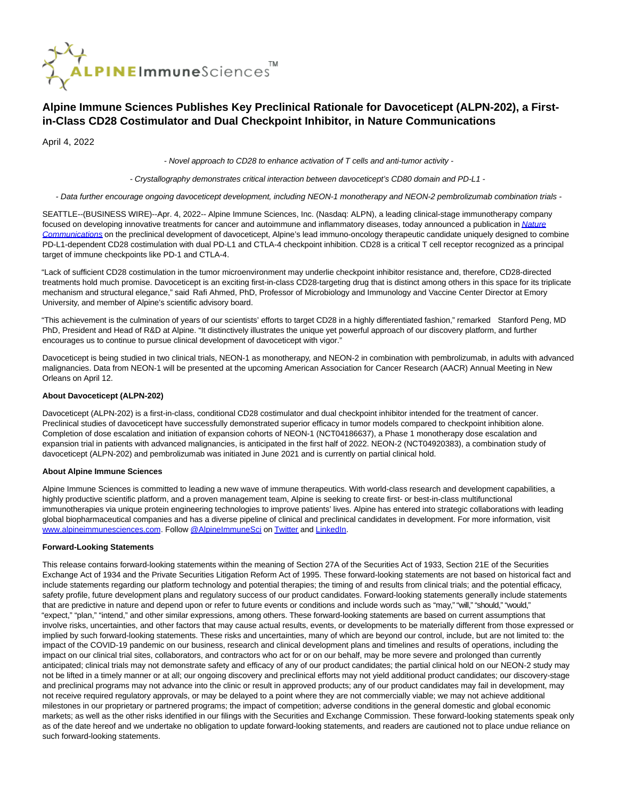

## **Alpine Immune Sciences Publishes Key Preclinical Rationale for Davoceticept (ALPN-202), a Firstin-Class CD28 Costimulator and Dual Checkpoint Inhibitor, in Nature Communications**

April 4, 2022

- Novel approach to CD28 to enhance activation of T cells and anti-tumor activity -

- Crystallography demonstrates critical interaction between davoceticept's CD80 domain and PD-L1 -

- Data further encourage ongoing davoceticept development, including NEON-1 monotherapy and NEON-2 pembrolizumab combination trials -

SEATTLE--(BUSINESS WIRE)--Apr. 4, 2022-- Alpine Immune Sciences, Inc. (Nasdaq: ALPN), a leading clinical-stage immunotherapy company focused on developing innovative treatments for cancer and autoimmune and inflammatory diseases, today announced a publication in [Nature](https://www.nature.com/articles/s41467-022-29286-5) Communications on the preclinical development of davoceticept, Alpine's lead immuno-oncology therapeutic candidate uniquely designed to combine PD-L1-dependent CD28 costimulation with dual PD-L1 and CTLA-4 checkpoint inhibition. CD28 is a critical T cell receptor recognized as a principal target of immune checkpoints like PD-1 and CTLA-4.

"Lack of sufficient CD28 costimulation in the tumor microenvironment may underlie checkpoint inhibitor resistance and, therefore, CD28-directed treatments hold much promise. Davoceticept is an exciting first-in-class CD28-targeting drug that is distinct among others in this space for its triplicate mechanism and structural elegance," said Rafi Ahmed, PhD, Professor of Microbiology and Immunology and Vaccine Center Director at Emory University, and member of Alpine's scientific advisory board.

"This achievement is the culmination of years of our scientists' efforts to target CD28 in a highly differentiated fashion," remarked Stanford Peng, MD PhD, President and Head of R&D at Alpine. "It distinctively illustrates the unique yet powerful approach of our discovery platform, and further encourages us to continue to pursue clinical development of davoceticept with vigor."

Davoceticept is being studied in two clinical trials, NEON-1 as monotherapy, and NEON-2 in combination with pembrolizumab, in adults with advanced malignancies. Data from NEON-1 will be presented at the upcoming American Association for Cancer Research (AACR) Annual Meeting in New Orleans on April 12.

## **About Davoceticept (ALPN-202)**

Davoceticept (ALPN-202) is a first-in-class, conditional CD28 costimulator and dual checkpoint inhibitor intended for the treatment of cancer. Preclinical studies of davoceticept have successfully demonstrated superior efficacy in tumor models compared to checkpoint inhibition alone. Completion of dose escalation and initiation of expansion cohorts of NEON-1 (NCT04186637), a Phase 1 monotherapy dose escalation and expansion trial in patients with advanced malignancies, is anticipated in the first half of 2022. NEON-2 (NCT04920383), a combination study of davoceticept (ALPN-202) and pembrolizumab was initiated in June 2021 and is currently on partial clinical hold.

## **About Alpine Immune Sciences**

Alpine Immune Sciences is committed to leading a new wave of immune therapeutics. With world-class research and development capabilities, a highly productive scientific platform, and a proven management team, Alpine is seeking to create first- or best-in-class multifunctional immunotherapies via unique protein engineering technologies to improve patients' lives. Alpine has entered into strategic collaborations with leading global biopharmaceutical companies and has a diverse pipeline of clinical and preclinical candidates in development. For more information, visit [www.alpineimmunesciences.com.](https://cts.businesswire.com/ct/CT?id=smartlink&url=http%3A%2F%2Fwww.alpineimmunesciences.com&esheet=52642932&newsitemid=20220404005356&lan=en-US&anchor=www.alpineimmunesciences.com&index=1&md5=438e81e61683872b68c3964b6ab977cb) Follow [@AlpineImmuneSci o](https://cts.businesswire.com/ct/CT?id=smartlink&url=https%3A%2F%2Ftwitter.com%2FAlpineImmuneSci&esheet=52642932&newsitemid=20220404005356&lan=en-US&anchor=%40AlpineImmuneSci&index=2&md5=c36652483994d288b5504b83ffbfe2bd)[n Twitter a](https://cts.businesswire.com/ct/CT?id=smartlink&url=https%3A%2F%2Ftwitter.com%2FAlpineImmuneSci&esheet=52642932&newsitemid=20220404005356&lan=en-US&anchor=Twitter&index=3&md5=b6a1fb49ad8b96fed084e9c2dc860a8a)nd [LinkedIn.](https://cts.businesswire.com/ct/CT?id=smartlink&url=https%3A%2F%2Fwww.linkedin.com%2Fcompany%2Falpine-immune-sciences%2F&esheet=52642932&newsitemid=20220404005356&lan=en-US&anchor=LinkedIn&index=4&md5=a6017edec7ba5abd9ad5fbd77cd0f942)

## **Forward-Looking Statements**

This release contains forward-looking statements within the meaning of Section 27A of the Securities Act of 1933, Section 21E of the Securities Exchange Act of 1934 and the Private Securities Litigation Reform Act of 1995. These forward-looking statements are not based on historical fact and include statements regarding our platform technology and potential therapies; the timing of and results from clinical trials; and the potential efficacy, safety profile, future development plans and regulatory success of our product candidates. Forward-looking statements generally include statements that are predictive in nature and depend upon or refer to future events or conditions and include words such as "may," "will," "should," "would," "expect," "plan," "intend," and other similar expressions, among others. These forward-looking statements are based on current assumptions that involve risks, uncertainties, and other factors that may cause actual results, events, or developments to be materially different from those expressed or implied by such forward-looking statements. These risks and uncertainties, many of which are beyond our control, include, but are not limited to: the impact of the COVID-19 pandemic on our business, research and clinical development plans and timelines and results of operations, including the impact on our clinical trial sites, collaborators, and contractors who act for or on our behalf, may be more severe and prolonged than currently anticipated; clinical trials may not demonstrate safety and efficacy of any of our product candidates; the partial clinical hold on our NEON-2 study may not be lifted in a timely manner or at all; our ongoing discovery and preclinical efforts may not yield additional product candidates; our discovery-stage and preclinical programs may not advance into the clinic or result in approved products; any of our product candidates may fail in development, may not receive required regulatory approvals, or may be delayed to a point where they are not commercially viable; we may not achieve additional milestones in our proprietary or partnered programs; the impact of competition; adverse conditions in the general domestic and global economic markets; as well as the other risks identified in our filings with the Securities and Exchange Commission. These forward-looking statements speak only as of the date hereof and we undertake no obligation to update forward-looking statements, and readers are cautioned not to place undue reliance on such forward-looking statements.